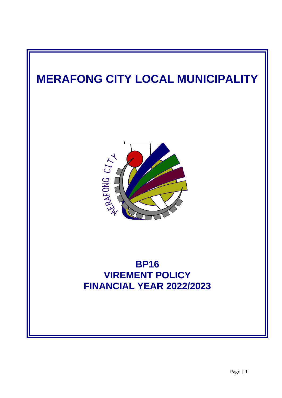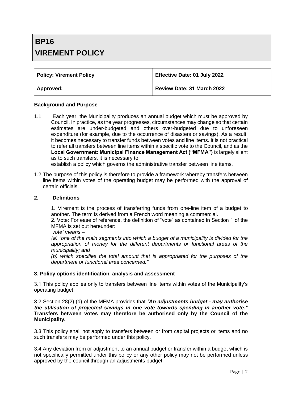# **BP16 VIREMENT POLICY**

| <b>Policy: Virement Policy</b> | Effective Date: 01 July 2022 |
|--------------------------------|------------------------------|
| Approved:                      | Review Date: 31 March 2022   |

#### **Background and Purpose**

1.1 Each year, the Municipality produces an annual budget which must be approved by Council. In practice, as the year progresses, circumstances may change so that certain estimates are under-budgeted and others over-budgeted due to unforeseen expenditure (for example, due to the occurrence of disasters or savings). As a result, it becomes necessary to transfer funds between votes and line items. It is not practical to refer all transfers between line items within a specific vote to the Council, and as the **Local Government: Municipal Finance Management Act ("MFMA")** is largely silent as to such transfers, it is necessary to

establish a policy which governs the administrative transfer between line items.

1.2 The purpose of this policy is therefore to provide a framework whereby transfers between line items within votes of the operating budget may be performed with the approval of certain officials.

#### **2. Definitions**

1. Virement is the process of transferring funds from one-line item of a budget to another. The term is derived from a French word meaning a commercial.

2. Vote: For ease of reference, the definition of "vote" as contained in Section 1 of the MFMA is set out hereunder:

*'vote' means –*

*(a) "one of the main segments into which a budget of a municipality is divided for the appropriation of money for the different departments or functional areas of the municipality; and* 

*(b) which specifies the total amount that is appropriated for the purposes of the department or functional area concerned."*

#### **3. Policy options identification, analysis and assessment**

3.1 This policy applies only to transfers between line items within votes of the Municipality's operating budget.

3.2 Section 28(2) (d) of the MFMA provides that *"An adjustments budget - may authorise the utilisation of projected savings in one vote towards spending in another vote."*  **Transfers between votes may therefore be authorised only by the Council of the Municipality.**

3.3 This policy shall not apply to transfers between or from capital projects or items and no such transfers may be performed under this policy.

3.4 Any deviation from or adjustment to an annual budget or transfer within a budget which is not specifically permitted under this policy or any other policy may not be performed unless approved by the council through an adjustments budget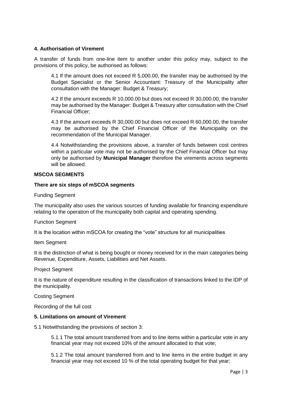# **4. Authorisation of Virement**

A transfer of funds from one-line item to another under this policy may, subject to the provisions of this policy, be authorised as follows:

4.1 If the amount does not exceed R 5,000.00, the transfer may be authorised by the Budget Specialist or the Senior Accountant: Treasury of the Municipality after consultation with the Manager: Budget & Treasury;

4.2 If the amount exceeds R 10,000.00 but does not exceed R 30,000.00, the transfer may be authorised by the Manager: Budget & Treasury after consultation with the Chief Financial Officer;

4.3 If the amount exceeds R 30,000.00 but does not exceed R 60,000.00, the transfer may be authorised by the Chief Financial Officer of the Municipality on the recommendation of the Municipal Manager.

4.4 Notwithstanding the provisions above, a transfer of funds between cost centres within a particular vote may not be authorised by the Chief Financial Officer but may only be authorised by **Municipal Manager** therefore the virements across segments will be allowed.

# **MSCOA SEGMENTS**

# **There are six steps of mSCOA segments**

Funding Segment

The municipality also uses the various sources of funding available for financing expenditure relating to the operation of the municipality both capital and operating spending.

Function Segment

It is the location within mSCOA for creating the "vote" structure for all municipalities

Item Segment

It is the distinction of what is being bought or money received for in the main categories being Revenue, Expenditure, Assets, Liabilities and Net Assets.

Project Segment

It is the nature of expenditure resulting in the classification of transactions linked to the IDP of the municipality.

Costing Segment

Recording of the full cost

# **5. Limitations on amount of Virement**

5.1 Notwithstanding the provisions of section 3:

5.1.1 The total amount transferred from and to line items within a particular vote in any financial year may not exceed 10% of the amount allocated to that vote;

5.1.2 The total amount transferred from and to line items in the entire budget in any financial year may not exceed 10 % of the total operating budget for that year;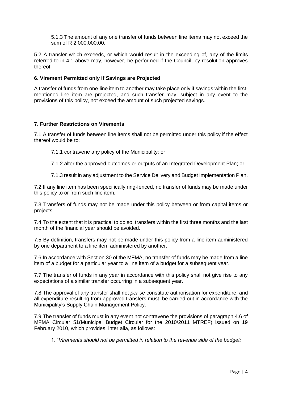5.1.3 The amount of any one transfer of funds between line items may not exceed the sum of R 2 000,000.00.

5.2 A transfer which exceeds, or which would result in the exceeding of, any of the limits referred to in 4.1 above may, however, be performed if the Council, by resolution approves thereof.

## **6. Virement Permitted only if Savings are Projected**

A transfer of funds from one-line item to another may take place only if savings within the firstmentioned line item are projected, and such transfer may, subject in any event to the provisions of this policy, not exceed the amount of such projected savings.

### **7. Further Restrictions on Virements**

7.1 A transfer of funds between line items shall not be permitted under this policy if the effect thereof would be to:

- 7.1.1 contravene any policy of the Municipality; or
- 7.1.2 alter the approved outcomes or outputs of an Integrated Development Plan; or
- 7.1.3 result in any adjustment to the Service Delivery and Budget Implementation Plan.

7.2 If any line item has been specifically ring-fenced, no transfer of funds may be made under this policy to or from such line item.

7.3 Transfers of funds may not be made under this policy between or from capital items or projects.

7.4 To the extent that it is practical to do so, transfers within the first three months and the last month of the financial year should be avoided.

7.5 By definition, transfers may not be made under this policy from a line item administered by one department to a line item administered by another.

7.6 In accordance with Section 30 of the MFMA, no transfer of funds may be made from a line item of a budget for a particular year to a line item of a budget for a subsequent year.

7.7 The transfer of funds in any year in accordance with this policy shall not give rise to any expectations of a similar transfer occurring in a subsequent year.

7.8 The approval of any transfer shall not *per se* constitute authorisation for expenditure, and all expenditure resulting from approved transfers must, be carried out in accordance with the Municipality's Supply Chain Management Policy.

7.9 The transfer of funds must in any event not contravene the provisions of paragraph 4.6 of MFMA Circular 51(Municipal Budget Circular for the 2010/2011 MTREF) issued on 19 February 2010, which provides, inter alia, as follows:

1. "*Virements should not be permitted in relation to the revenue side of the budget;*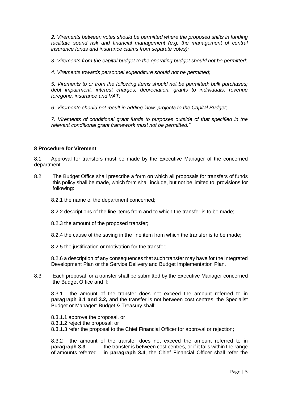*2. Virements between votes should be permitted where the proposed shifts in funding*  facilitate sound risk and financial management (e.g. the management of central *insurance funds and insurance claims from separate votes);*

*3. Virements from the capital budget to the operating budget should not be permitted;* 

*4. Virements towards personnel expenditure should not be permitted;* 

*5. Virements to or from the following items should not be permitted: bulk purchases; debt impairment, interest charges; depreciation, grants to individuals, revenue foregone, insurance and VAT;* 

*6. Virements should not result in adding 'new' projects to the Capital Budget;* 

*7. Virements of conditional grant funds to purposes outside of that specified in the relevant conditional grant framework must not be permitted."*

### **8 Procedure for Virement**

8.1 Approval for transfers must be made by the Executive Manager of the concerned department.

8.2 The Budget Office shall prescribe a form on which all proposals for transfers of funds this policy shall be made, which form shall include, but not be limited to, provisions for following:

8.2.1 the name of the department concerned;

8.2.2 descriptions of the line items from and to which the transfer is to be made;

8.2.3 the amount of the proposed transfer;

8.2.4 the cause of the saving in the line item from which the transfer is to be made;

8.2.5 the justification or motivation for the transfer;

8.2.6 a description of any consequences that such transfer may have for the Integrated Development Plan or the Service Delivery and Budget Implementation Plan.

8.3 Each proposal for a transfer shall be submitted by the Executive Manager concerned the Budget Office and if:

8.3.1 the amount of the transfer does not exceed the amount referred to in **paragraph 3.1 and 3.2,** and the transfer is not between cost centres, the Specialist Budget or Manager: Budget & Treasury shall:

8.3.1.1 approve the proposal, or 8.3.1.2 reject the proposal; or 8.3.1.3 refer the proposal to the Chief Financial Officer for approval or rejection;

8.3.2 the amount of the transfer does not exceed the amount referred to in **paragraph 3.3** the transfer is between cost centres, or if it falls within the range of amounts referred in **paragraph 3.4**, the Chief Financial Officer shall refer the